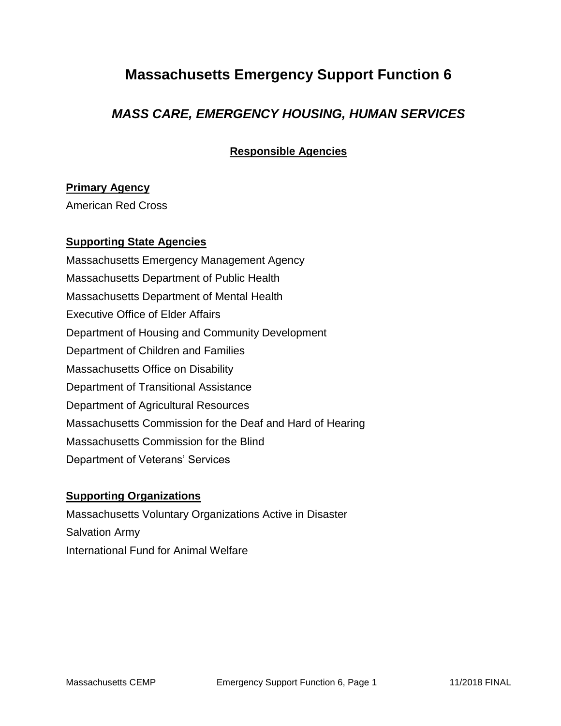# **Massachusetts Emergency Support Function 6**

### *MASS CARE, EMERGENCY HOUSING, HUMAN SERVICES*

**Responsible Agencies**

#### **Primary Agency**

American Red Cross

#### **Supporting State Agencies**

Massachusetts Emergency Management Agency Massachusetts Department of Public Health Massachusetts Department of Mental Health Executive Office of Elder Affairs Department of Housing and Community Development Department of Children and Families Massachusetts Office on Disability Department of Transitional Assistance Department of Agricultural Resources Massachusetts Commission for the Deaf and Hard of Hearing Massachusetts Commission for the Blind Department of Veterans' Services

#### **Supporting Organizations**

Massachusetts Voluntary Organizations Active in Disaster Salvation Army International Fund for Animal Welfare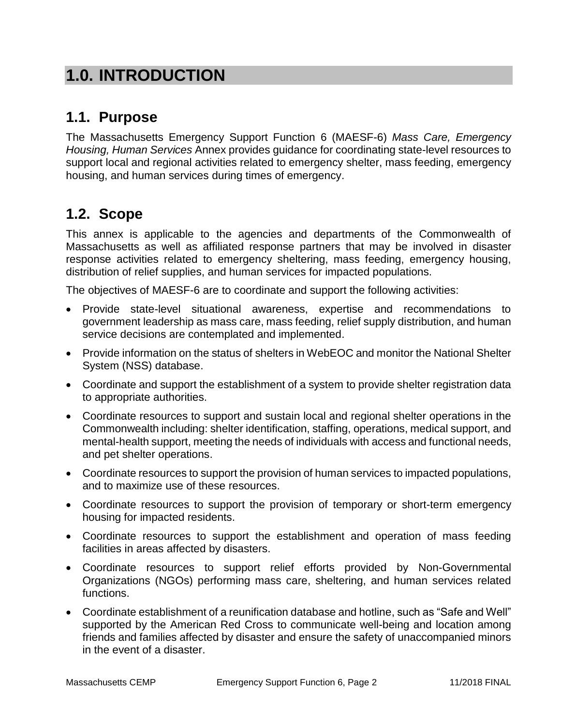# **1.0. INTRODUCTION**

## **1.1. Purpose**

The Massachusetts Emergency Support Function 6 (MAESF-6) *Mass Care, Emergency Housing, Human Services* Annex provides guidance for coordinating state-level resources to support local and regional activities related to emergency shelter, mass feeding, emergency housing, and human services during times of emergency.

### **1.2. Scope**

This annex is applicable to the agencies and departments of the Commonwealth of Massachusetts as well as affiliated response partners that may be involved in disaster response activities related to emergency sheltering, mass feeding, emergency housing, distribution of relief supplies, and human services for impacted populations.

The objectives of MAESF-6 are to coordinate and support the following activities:

- Provide state-level situational awareness, expertise and recommendations to government leadership as mass care, mass feeding, relief supply distribution, and human service decisions are contemplated and implemented.
- Provide information on the status of shelters in WebEOC and monitor the National Shelter System (NSS) database.
- Coordinate and support the establishment of a system to provide shelter registration data to appropriate authorities.
- Coordinate resources to support and sustain local and regional shelter operations in the Commonwealth including: shelter identification, staffing, operations, medical support, and mental-health support, meeting the needs of individuals with access and functional needs, and pet shelter operations.
- Coordinate resources to support the provision of human services to impacted populations, and to maximize use of these resources.
- Coordinate resources to support the provision of temporary or short-term emergency housing for impacted residents.
- Coordinate resources to support the establishment and operation of mass feeding facilities in areas affected by disasters.
- Coordinate resources to support relief efforts provided by Non-Governmental Organizations (NGOs) performing mass care, sheltering, and human services related functions.
- Coordinate establishment of a reunification database and hotline, such as "Safe and Well" supported by the American Red Cross to communicate well-being and location among friends and families affected by disaster and ensure the safety of unaccompanied minors in the event of a disaster.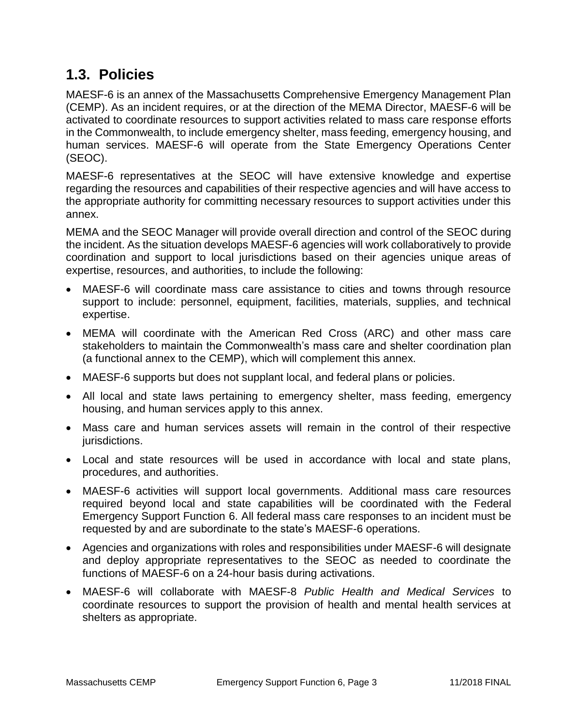### **1.3. Policies**

MAESF-6 is an annex of the Massachusetts Comprehensive Emergency Management Plan (CEMP). As an incident requires, or at the direction of the MEMA Director, MAESF-6 will be activated to coordinate resources to support activities related to mass care response efforts in the Commonwealth, to include emergency shelter, mass feeding, emergency housing, and human services. MAESF-6 will operate from the State Emergency Operations Center (SEOC).

MAESF-6 representatives at the SEOC will have extensive knowledge and expertise regarding the resources and capabilities of their respective agencies and will have access to the appropriate authority for committing necessary resources to support activities under this annex.

MEMA and the SEOC Manager will provide overall direction and control of the SEOC during the incident. As the situation develops MAESF-6 agencies will work collaboratively to provide coordination and support to local jurisdictions based on their agencies unique areas of expertise, resources, and authorities, to include the following:

- MAESF-6 will coordinate mass care assistance to cities and towns through resource support to include: personnel, equipment, facilities, materials, supplies, and technical expertise.
- MEMA will coordinate with the American Red Cross (ARC) and other mass care stakeholders to maintain the Commonwealth's mass care and shelter coordination plan (a functional annex to the CEMP), which will complement this annex.
- MAESF-6 supports but does not supplant local, and federal plans or policies.
- All local and state laws pertaining to emergency shelter, mass feeding, emergency housing, and human services apply to this annex.
- Mass care and human services assets will remain in the control of their respective jurisdictions.
- Local and state resources will be used in accordance with local and state plans, procedures, and authorities.
- MAESF-6 activities will support local governments. Additional mass care resources required beyond local and state capabilities will be coordinated with the Federal Emergency Support Function 6. All federal mass care responses to an incident must be requested by and are subordinate to the state's MAESF-6 operations.
- Agencies and organizations with roles and responsibilities under MAESF-6 will designate and deploy appropriate representatives to the SEOC as needed to coordinate the functions of MAESF-6 on a 24-hour basis during activations.
- MAESF-6 will collaborate with MAESF-8 *Public Health and Medical Services* to coordinate resources to support the provision of health and mental health services at shelters as appropriate.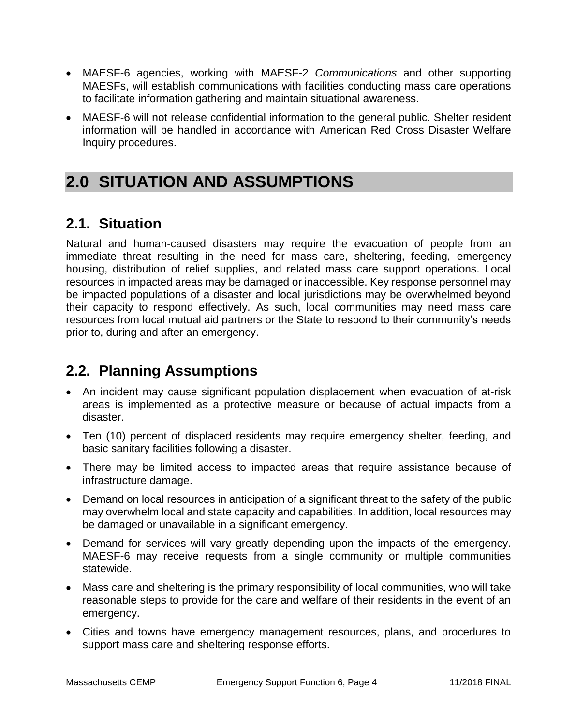- MAESF-6 agencies, working with MAESF-2 *Communications* and other supporting MAESFs, will establish communications with facilities conducting mass care operations to facilitate information gathering and maintain situational awareness.
- MAESF-6 will not release confidential information to the general public. Shelter resident information will be handled in accordance with American Red Cross Disaster Welfare Inquiry procedures.

# **2.0 SITUATION AND ASSUMPTIONS**

## **2.1. Situation**

Natural and human-caused disasters may require the evacuation of people from an immediate threat resulting in the need for mass care, sheltering, feeding, emergency housing, distribution of relief supplies, and related mass care support operations. Local resources in impacted areas may be damaged or inaccessible. Key response personnel may be impacted populations of a disaster and local jurisdictions may be overwhelmed beyond their capacity to respond effectively. As such, local communities may need mass care resources from local mutual aid partners or the State to respond to their community's needs prior to, during and after an emergency.

### **2.2. Planning Assumptions**

- An incident may cause significant population displacement when evacuation of at-risk areas is implemented as a protective measure or because of actual impacts from a disaster.
- Ten (10) percent of displaced residents may require emergency shelter, feeding, and basic sanitary facilities following a disaster.
- There may be limited access to impacted areas that require assistance because of infrastructure damage.
- Demand on local resources in anticipation of a significant threat to the safety of the public may overwhelm local and state capacity and capabilities. In addition, local resources may be damaged or unavailable in a significant emergency.
- Demand for services will vary greatly depending upon the impacts of the emergency. MAESF-6 may receive requests from a single community or multiple communities statewide.
- Mass care and sheltering is the primary responsibility of local communities, who will take reasonable steps to provide for the care and welfare of their residents in the event of an emergency.
- Cities and towns have emergency management resources, plans, and procedures to support mass care and sheltering response efforts.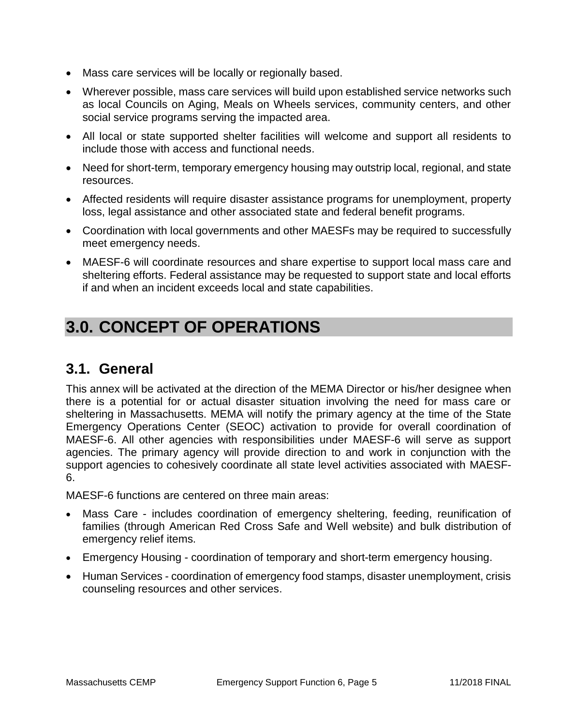- Mass care services will be locally or regionally based.
- Wherever possible, mass care services will build upon established service networks such as local Councils on Aging, Meals on Wheels services, community centers, and other social service programs serving the impacted area.
- All local or state supported shelter facilities will welcome and support all residents to include those with access and functional needs.
- Need for short-term, temporary emergency housing may outstrip local, regional, and state resources.
- Affected residents will require disaster assistance programs for unemployment, property loss, legal assistance and other associated state and federal benefit programs.
- Coordination with local governments and other MAESFs may be required to successfully meet emergency needs.
- MAESF-6 will coordinate resources and share expertise to support local mass care and sheltering efforts. Federal assistance may be requested to support state and local efforts if and when an incident exceeds local and state capabilities.

# **3.0. CONCEPT OF OPERATIONS**

### **3.1. General**

This annex will be activated at the direction of the MEMA Director or his/her designee when there is a potential for or actual disaster situation involving the need for mass care or sheltering in Massachusetts. MEMA will notify the primary agency at the time of the State Emergency Operations Center (SEOC) activation to provide for overall coordination of MAESF-6. All other agencies with responsibilities under MAESF-6 will serve as support agencies. The primary agency will provide direction to and work in conjunction with the support agencies to cohesively coordinate all state level activities associated with MAESF-6.

MAESF-6 functions are centered on three main areas:

- Mass Care includes coordination of emergency sheltering, feeding, reunification of families (through American Red Cross Safe and Well website) and bulk distribution of emergency relief items.
- Emergency Housing coordination of temporary and short-term emergency housing.
- Human Services coordination of emergency food stamps, disaster unemployment, crisis counseling resources and other services.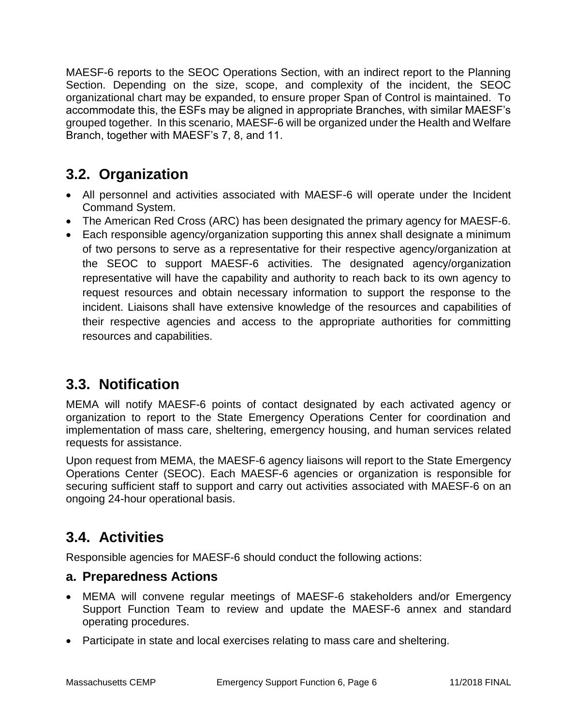MAESF-6 reports to the SEOC Operations Section, with an indirect report to the Planning Section. Depending on the size, scope, and complexity of the incident, the SEOC organizational chart may be expanded, to ensure proper Span of Control is maintained. To accommodate this, the ESFs may be aligned in appropriate Branches, with similar MAESF's grouped together. In this scenario, MAESF-6 will be organized under the Health and Welfare Branch, together with MAESF's 7, 8, and 11.

## **3.2. Organization**

- All personnel and activities associated with MAESF-6 will operate under the Incident Command System.
- The American Red Cross (ARC) has been designated the primary agency for MAESF-6.
- Each responsible agency/organization supporting this annex shall designate a minimum of two persons to serve as a representative for their respective agency/organization at the SEOC to support MAESF-6 activities. The designated agency/organization representative will have the capability and authority to reach back to its own agency to request resources and obtain necessary information to support the response to the incident. Liaisons shall have extensive knowledge of the resources and capabilities of their respective agencies and access to the appropriate authorities for committing resources and capabilities.

## **3.3. Notification**

MEMA will notify MAESF-6 points of contact designated by each activated agency or organization to report to the State Emergency Operations Center for coordination and implementation of mass care, sheltering, emergency housing, and human services related requests for assistance.

Upon request from MEMA, the MAESF-6 agency liaisons will report to the State Emergency Operations Center (SEOC). Each MAESF-6 agencies or organization is responsible for securing sufficient staff to support and carry out activities associated with MAESF-6 on an ongoing 24-hour operational basis.

## **3.4. Activities**

Responsible agencies for MAESF-6 should conduct the following actions:

#### **a. Preparedness Actions**

- MEMA will convene regular meetings of MAESF-6 stakeholders and/or Emergency Support Function Team to review and update the MAESF-6 annex and standard operating procedures.
- Participate in state and local exercises relating to mass care and sheltering.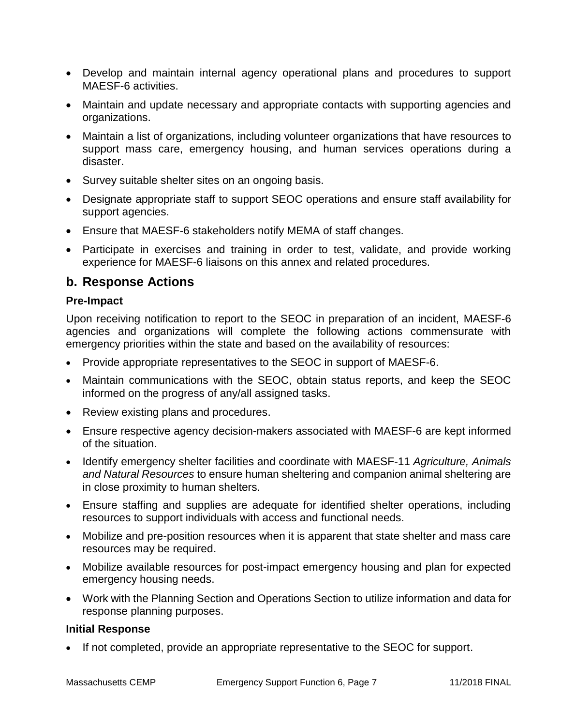- Develop and maintain internal agency operational plans and procedures to support MAESF-6 activities.
- Maintain and update necessary and appropriate contacts with supporting agencies and organizations.
- Maintain a list of organizations, including volunteer organizations that have resources to support mass care, emergency housing, and human services operations during a disaster.
- Survey suitable shelter sites on an ongoing basis.
- Designate appropriate staff to support SEOC operations and ensure staff availability for support agencies.
- Ensure that MAESF-6 stakeholders notify MEMA of staff changes.
- Participate in exercises and training in order to test, validate, and provide working experience for MAESF-6 liaisons on this annex and related procedures.

#### **b. Response Actions**

#### **Pre-Impact**

Upon receiving notification to report to the SEOC in preparation of an incident, MAESF-6 agencies and organizations will complete the following actions commensurate with emergency priorities within the state and based on the availability of resources:

- Provide appropriate representatives to the SEOC in support of MAESF-6.
- Maintain communications with the SEOC, obtain status reports, and keep the SEOC informed on the progress of any/all assigned tasks.
- Review existing plans and procedures.
- Ensure respective agency decision-makers associated with MAESF-6 are kept informed of the situation.
- Identify emergency shelter facilities and coordinate with MAESF-11 *Agriculture, Animals and Natural Resources* to ensure human sheltering and companion animal sheltering are in close proximity to human shelters.
- Ensure staffing and supplies are adequate for identified shelter operations, including resources to support individuals with access and functional needs.
- Mobilize and pre-position resources when it is apparent that state shelter and mass care resources may be required.
- Mobilize available resources for post-impact emergency housing and plan for expected emergency housing needs.
- Work with the Planning Section and Operations Section to utilize information and data for response planning purposes.

#### **Initial Response**

If not completed, provide an appropriate representative to the SEOC for support.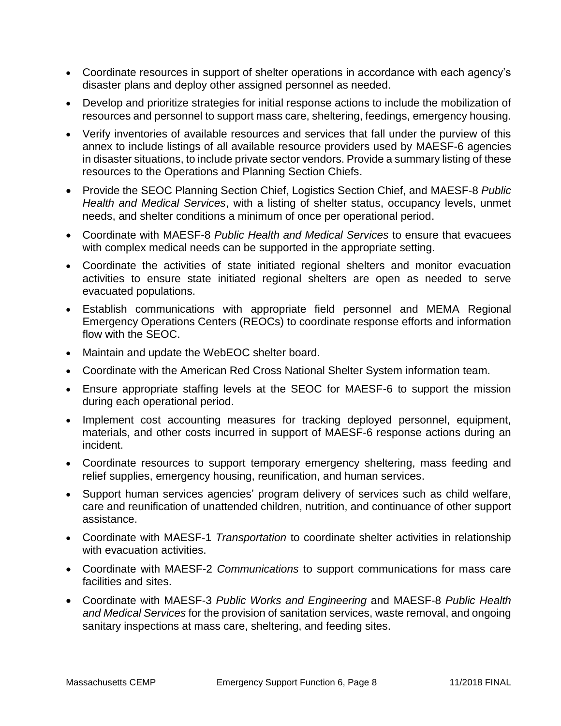- Coordinate resources in support of shelter operations in accordance with each agency's disaster plans and deploy other assigned personnel as needed.
- Develop and prioritize strategies for initial response actions to include the mobilization of resources and personnel to support mass care, sheltering, feedings, emergency housing.
- Verify inventories of available resources and services that fall under the purview of this annex to include listings of all available resource providers used by MAESF-6 agencies in disaster situations, to include private sector vendors. Provide a summary listing of these resources to the Operations and Planning Section Chiefs.
- Provide the SEOC Planning Section Chief, Logistics Section Chief, and MAESF-8 *Public Health and Medical Services*, with a listing of shelter status, occupancy levels, unmet needs, and shelter conditions a minimum of once per operational period.
- Coordinate with MAESF-8 *Public Health and Medical Services* to ensure that evacuees with complex medical needs can be supported in the appropriate setting.
- Coordinate the activities of state initiated regional shelters and monitor evacuation activities to ensure state initiated regional shelters are open as needed to serve evacuated populations.
- Establish communications with appropriate field personnel and MEMA Regional Emergency Operations Centers (REOCs) to coordinate response efforts and information flow with the SEOC.
- Maintain and update the WebEOC shelter board.
- Coordinate with the American Red Cross National Shelter System information team.
- Ensure appropriate staffing levels at the SEOC for MAESF-6 to support the mission during each operational period.
- Implement cost accounting measures for tracking deployed personnel, equipment, materials, and other costs incurred in support of MAESF-6 response actions during an incident.
- Coordinate resources to support temporary emergency sheltering, mass feeding and relief supplies, emergency housing, reunification, and human services.
- Support human services agencies' program delivery of services such as child welfare, care and reunification of unattended children, nutrition, and continuance of other support assistance.
- Coordinate with MAESF-1 *Transportation* to coordinate shelter activities in relationship with evacuation activities.
- Coordinate with MAESF-2 *Communications* to support communications for mass care facilities and sites.
- Coordinate with MAESF-3 *Public Works and Engineering* and MAESF-8 *Public Health and Medical Services* for the provision of sanitation services, waste removal, and ongoing sanitary inspections at mass care, sheltering, and feeding sites.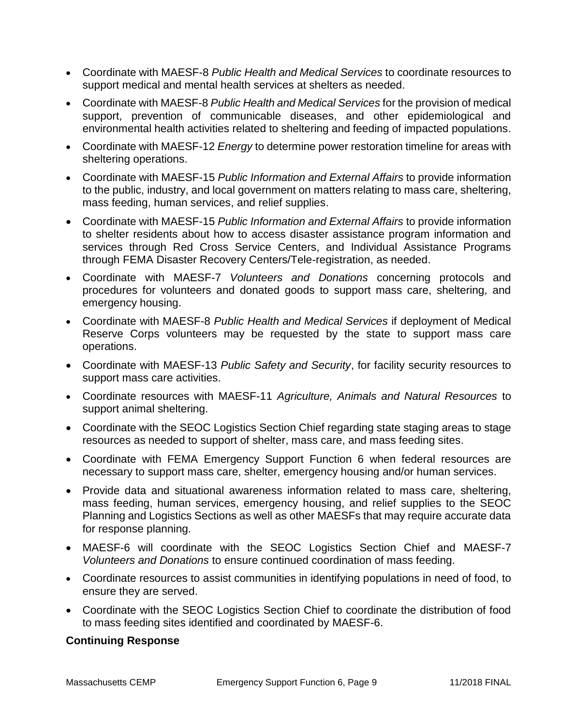- Coordinate with MAESF-8 *Public Health and Medical Services* to coordinate resources to support medical and mental health services at shelters as needed.
- Coordinate with MAESF-8 *Public Health and Medical Services* for the provision of medical support, prevention of communicable diseases, and other epidemiological and environmental health activities related to sheltering and feeding of impacted populations.
- Coordinate with MAESF-12 *Energy* to determine power restoration timeline for areas with sheltering operations.
- Coordinate with MAESF-15 *Public Information and External Affairs* to provide information to the public, industry, and local government on matters relating to mass care, sheltering, mass feeding, human services, and relief supplies.
- Coordinate with MAESF-15 *Public Information and External Affairs* to provide information to shelter residents about how to access disaster assistance program information and services through Red Cross Service Centers, and Individual Assistance Programs through FEMA Disaster Recovery Centers/Tele-registration, as needed.
- Coordinate with MAESF-7 *Volunteers and Donations* concerning protocols and procedures for volunteers and donated goods to support mass care, sheltering, and emergency housing.
- Coordinate with MAESF-8 *Public Health and Medical Services* if deployment of Medical Reserve Corps volunteers may be requested by the state to support mass care operations.
- Coordinate with MAESF-13 *Public Safety and Security*, for facility security resources to support mass care activities.
- Coordinate resources with MAESF-11 *Agriculture, Animals and Natural Resources* to support animal sheltering.
- Coordinate with the SEOC Logistics Section Chief regarding state staging areas to stage resources as needed to support of shelter, mass care, and mass feeding sites.
- Coordinate with FEMA Emergency Support Function 6 when federal resources are necessary to support mass care, shelter, emergency housing and/or human services.
- Provide data and situational awareness information related to mass care, sheltering, mass feeding, human services, emergency housing, and relief supplies to the SEOC Planning and Logistics Sections as well as other MAESFs that may require accurate data for response planning.
- MAESF-6 will coordinate with the SEOC Logistics Section Chief and MAESF-7 *Volunteers and Donations* to ensure continued coordination of mass feeding.
- Coordinate resources to assist communities in identifying populations in need of food, to ensure they are served.
- Coordinate with the SEOC Logistics Section Chief to coordinate the distribution of food to mass feeding sites identified and coordinated by MAESF-6.

#### **Continuing Response**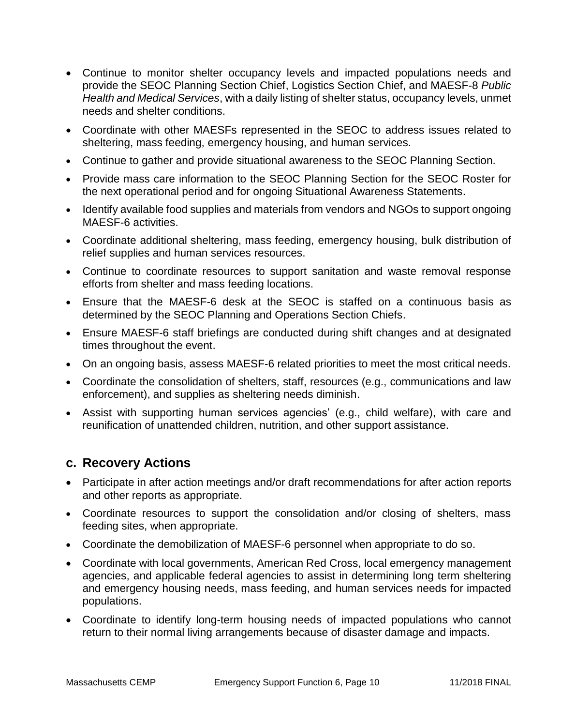- Continue to monitor shelter occupancy levels and impacted populations needs and provide the SEOC Planning Section Chief, Logistics Section Chief, and MAESF-8 *Public Health and Medical Services*, with a daily listing of shelter status, occupancy levels, unmet needs and shelter conditions.
- Coordinate with other MAESFs represented in the SEOC to address issues related to sheltering, mass feeding, emergency housing, and human services.
- Continue to gather and provide situational awareness to the SEOC Planning Section.
- Provide mass care information to the SEOC Planning Section for the SEOC Roster for the next operational period and for ongoing Situational Awareness Statements.
- Identify available food supplies and materials from vendors and NGOs to support ongoing MAESF-6 activities.
- Coordinate additional sheltering, mass feeding, emergency housing, bulk distribution of relief supplies and human services resources.
- Continue to coordinate resources to support sanitation and waste removal response efforts from shelter and mass feeding locations.
- Ensure that the MAESF-6 desk at the SEOC is staffed on a continuous basis as determined by the SEOC Planning and Operations Section Chiefs.
- Ensure MAESF-6 staff briefings are conducted during shift changes and at designated times throughout the event.
- On an ongoing basis, assess MAESF-6 related priorities to meet the most critical needs.
- Coordinate the consolidation of shelters, staff, resources (e.g., communications and law enforcement), and supplies as sheltering needs diminish.
- Assist with supporting human services agencies' (e.g., child welfare), with care and reunification of unattended children, nutrition, and other support assistance.

#### **c. Recovery Actions**

- Participate in after action meetings and/or draft recommendations for after action reports and other reports as appropriate.
- Coordinate resources to support the consolidation and/or closing of shelters, mass feeding sites, when appropriate.
- Coordinate the demobilization of MAESF-6 personnel when appropriate to do so.
- Coordinate with local governments, American Red Cross, local emergency management agencies, and applicable federal agencies to assist in determining long term sheltering and emergency housing needs, mass feeding, and human services needs for impacted populations.
- Coordinate to identify long-term housing needs of impacted populations who cannot return to their normal living arrangements because of disaster damage and impacts.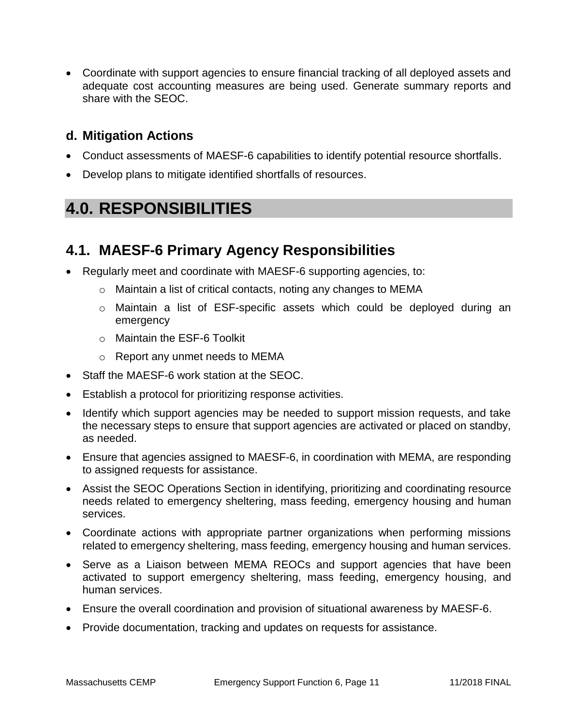Coordinate with support agencies to ensure financial tracking of all deployed assets and adequate cost accounting measures are being used. Generate summary reports and share with the SEOC.

### **d. Mitigation Actions**

- Conduct assessments of MAESF-6 capabilities to identify potential resource shortfalls.
- Develop plans to mitigate identified shortfalls of resources.

# **4.0. RESPONSIBILITIES**

### **4.1. MAESF-6 Primary Agency Responsibilities**

- Regularly meet and coordinate with MAESF-6 supporting agencies, to:
	- o Maintain a list of critical contacts, noting any changes to MEMA
	- o Maintain a list of ESF-specific assets which could be deployed during an emergency
	- o Maintain the ESF-6 Toolkit
	- o Report any unmet needs to MEMA
- Staff the MAESF-6 work station at the SEOC.
- Establish a protocol for prioritizing response activities.
- Identify which support agencies may be needed to support mission requests, and take the necessary steps to ensure that support agencies are activated or placed on standby, as needed.
- Ensure that agencies assigned to MAESF-6, in coordination with MEMA, are responding to assigned requests for assistance.
- Assist the SEOC Operations Section in identifying, prioritizing and coordinating resource needs related to emergency sheltering, mass feeding, emergency housing and human services.
- Coordinate actions with appropriate partner organizations when performing missions related to emergency sheltering, mass feeding, emergency housing and human services.
- Serve as a Liaison between MEMA REOCs and support agencies that have been activated to support emergency sheltering, mass feeding, emergency housing, and human services.
- Ensure the overall coordination and provision of situational awareness by MAESF-6.
- Provide documentation, tracking and updates on requests for assistance.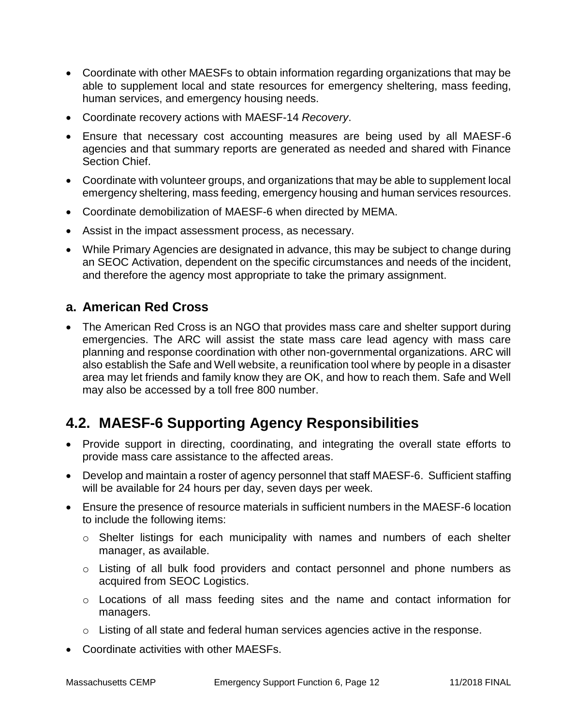- Coordinate with other MAESFs to obtain information regarding organizations that may be able to supplement local and state resources for emergency sheltering, mass feeding, human services, and emergency housing needs.
- Coordinate recovery actions with MAESF-14 *Recovery*.
- Ensure that necessary cost accounting measures are being used by all MAESF-6 agencies and that summary reports are generated as needed and shared with Finance Section Chief.
- Coordinate with volunteer groups, and organizations that may be able to supplement local emergency sheltering, mass feeding, emergency housing and human services resources.
- Coordinate demobilization of MAESF-6 when directed by MEMA.
- Assist in the impact assessment process, as necessary.
- While Primary Agencies are designated in advance, this may be subject to change during an SEOC Activation, dependent on the specific circumstances and needs of the incident, and therefore the agency most appropriate to take the primary assignment.

### **a. American Red Cross**

 The American Red Cross is an NGO that provides mass care and shelter support during emergencies. The ARC will assist the state mass care lead agency with mass care planning and response coordination with other non-governmental organizations. ARC will also establish the Safe and Well website, a reunification tool where by people in a disaster area may let friends and family know they are OK, and how to reach them. Safe and Well may also be accessed by a toll free 800 number.

## **4.2. MAESF-6 Supporting Agency Responsibilities**

- Provide support in directing, coordinating, and integrating the overall state efforts to provide mass care assistance to the affected areas.
- Develop and maintain a roster of agency personnel that staff MAESF-6. Sufficient staffing will be available for 24 hours per day, seven days per week.
- Ensure the presence of resource materials in sufficient numbers in the MAESF-6 location to include the following items:
	- o Shelter listings for each municipality with names and numbers of each shelter manager, as available.
	- o Listing of all bulk food providers and contact personnel and phone numbers as acquired from SEOC Logistics.
	- o Locations of all mass feeding sites and the name and contact information for managers.
	- o Listing of all state and federal human services agencies active in the response.
- Coordinate activities with other MAESFs.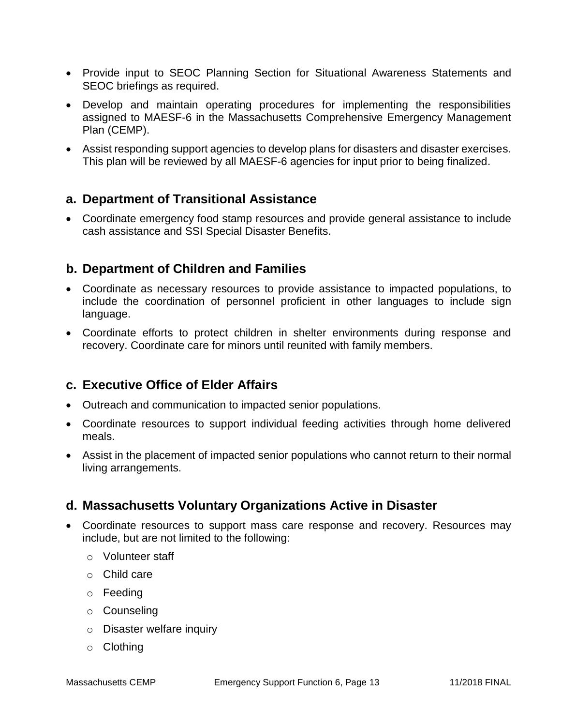- Provide input to SEOC Planning Section for Situational Awareness Statements and SEOC briefings as required.
- Develop and maintain operating procedures for implementing the responsibilities assigned to MAESF-6 in the Massachusetts Comprehensive Emergency Management Plan (CEMP).
- Assist responding support agencies to develop plans for disasters and disaster exercises. This plan will be reviewed by all MAESF-6 agencies for input prior to being finalized.

#### **a. Department of Transitional Assistance**

 Coordinate emergency food stamp resources and provide general assistance to include cash assistance and SSI Special Disaster Benefits.

#### **b. Department of Children and Families**

- Coordinate as necessary resources to provide assistance to impacted populations, to include the coordination of personnel proficient in other languages to include sign language.
- Coordinate efforts to protect children in shelter environments during response and recovery. Coordinate care for minors until reunited with family members.

#### **c. Executive Office of Elder Affairs**

- Outreach and communication to impacted senior populations.
- Coordinate resources to support individual feeding activities through home delivered meals.
- Assist in the placement of impacted senior populations who cannot return to their normal living arrangements.

#### **d. Massachusetts Voluntary Organizations Active in Disaster**

- Coordinate resources to support mass care response and recovery. Resources may include, but are not limited to the following:
	- o Volunteer staff
	- o Child care
	- o Feeding
	- o Counseling
	- o Disaster welfare inquiry
	- o Clothing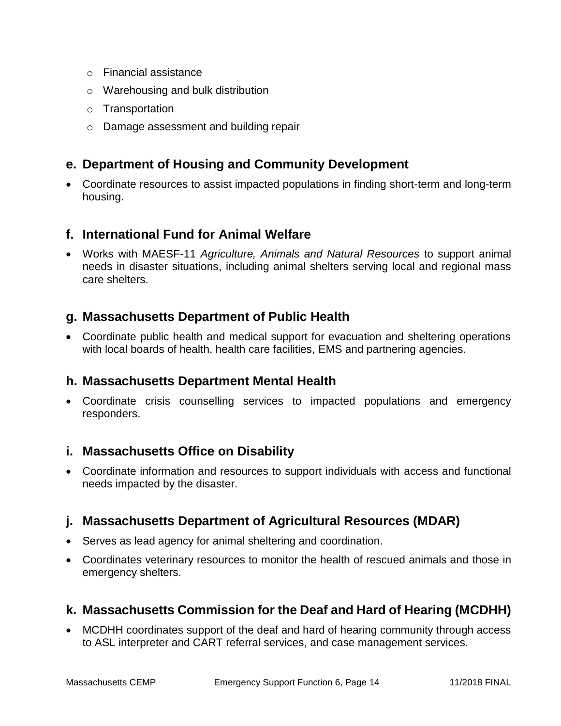- o Financial assistance
- o Warehousing and bulk distribution
- o Transportation
- o Damage assessment and building repair

### **e. Department of Housing and Community Development**

 Coordinate resources to assist impacted populations in finding short-term and long-term housing.

### **f. International Fund for Animal Welfare**

 Works with MAESF-11 *Agriculture, Animals and Natural Resources* to support animal needs in disaster situations, including animal shelters serving local and regional mass care shelters.

### **g. Massachusetts Department of Public Health**

 Coordinate public health and medical support for evacuation and sheltering operations with local boards of health, health care facilities, EMS and partnering agencies.

#### **h. Massachusetts Department Mental Health**

 Coordinate crisis counselling services to impacted populations and emergency responders.

#### **i. Massachusetts Office on Disability**

 Coordinate information and resources to support individuals with access and functional needs impacted by the disaster.

### **j. Massachusetts Department of Agricultural Resources (MDAR)**

- Serves as lead agency for animal sheltering and coordination.
- Coordinates veterinary resources to monitor the health of rescued animals and those in emergency shelters.

#### **k. Massachusetts Commission for the Deaf and Hard of Hearing (MCDHH)**

 MCDHH coordinates support of the deaf and hard of hearing community through access to ASL interpreter and CART referral services, and case management services.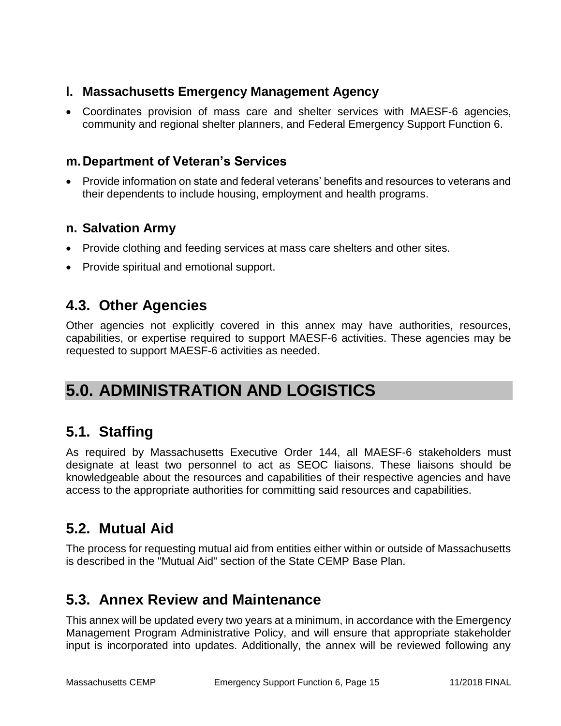### **l. Massachusetts Emergency Management Agency**

 Coordinates provision of mass care and shelter services with MAESF-6 agencies, community and regional shelter planners, and Federal Emergency Support Function 6.

#### **m.Department of Veteran's Services**

 Provide information on state and federal veterans' benefits and resources to veterans and their dependents to include housing, employment and health programs.

### **n. Salvation Army**

- Provide clothing and feeding services at mass care shelters and other sites.
- Provide spiritual and emotional support.

### **4.3. Other Agencies**

Other agencies not explicitly covered in this annex may have authorities, resources, capabilities, or expertise required to support MAESF-6 activities. These agencies may be requested to support MAESF-6 activities as needed.

# **5.0. ADMINISTRATION AND LOGISTICS**

### **5.1. Staffing**

As required by Massachusetts Executive Order 144, all MAESF-6 stakeholders must designate at least two personnel to act as SEOC liaisons. These liaisons should be knowledgeable about the resources and capabilities of their respective agencies and have access to the appropriate authorities for committing said resources and capabilities.

## **5.2. Mutual Aid**

The process for requesting mutual aid from entities either within or outside of Massachusetts is described in the "Mutual Aid" section of the State CEMP Base Plan.

## **5.3. Annex Review and Maintenance**

This annex will be updated every two years at a minimum, in accordance with the Emergency Management Program Administrative Policy, and will ensure that appropriate stakeholder input is incorporated into updates. Additionally, the annex will be reviewed following any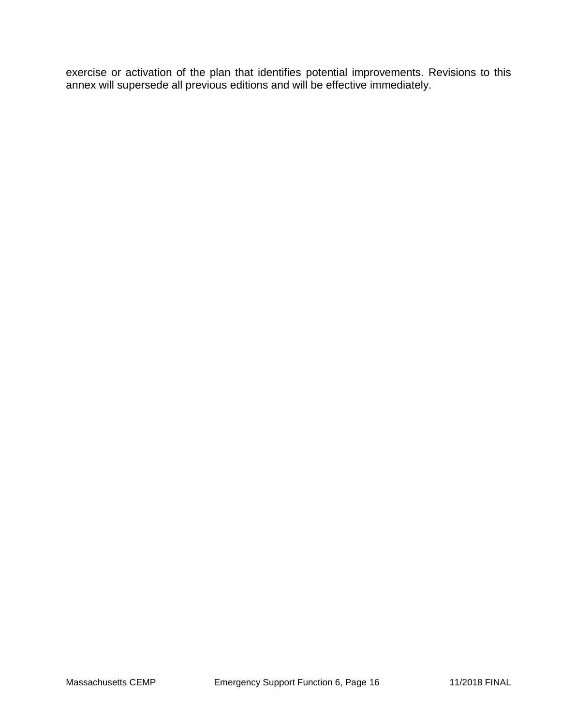exercise or activation of the plan that identifies potential improvements. Revisions to this annex will supersede all previous editions and will be effective immediately.